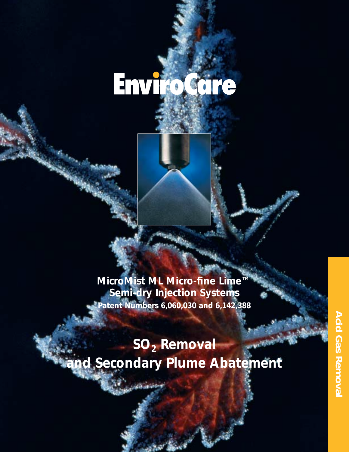# **EnviroCare**

**MicroMist ML Micro-fine Lime™ Semi-dry Injection Systems Patent Numbers 6,060,030 and 6,142,388** 

## **SO2 Removal and Secondary Plume Abatement**

**Sandbook**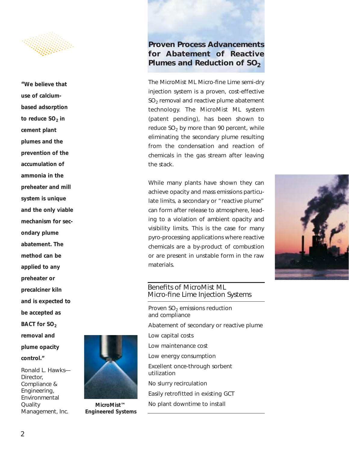

*"We believe that use of calciumbased adsorption to reduce SO<sub>2</sub> in cement plant plumes and the prevention of the accumulation of ammonia in the preheater and mill system is unique and the only viable mechanism for secondary plume abatement. The method can be applied to any preheater or precalciner kiln and is expected to be accepted as BACT for SO<sub>2</sub> removal and plume opacity control." Ronald L. Hawks— Director, Compliance & Engineering,*



**MicroMist™ Engineered Systems**

#### *Proven Process Advancements for Abatement of Reactive* **Plumes and Reduction of SO<sub>2</sub>**

The MicroMist ML Micro-fine Lime semi-dry injection system is a proven, cost-effective  $SO<sub>2</sub>$  removal and reactive plume abatement technology. The MicroMist ML system (patent pending), has been shown to reduce  $SO<sub>2</sub>$  by more than 90 percent, while eliminating the secondary plume resulting from the condensation and reaction of chemicals in the gas stream after leaving the stack.

While many plants have shown they can achieve opacity and mass emissions particulate limits, a secondary or "reactive plume" can form after release to atmosphere, leading to a violation of ambient opacity and visibility limits. This is the case for many pyro-processing applications where reactive chemicals are a by-product of combustion or are present in unstable form in the raw materials.



#### Benefits of MicroMist ML Micro-fine Lime Injection Systems

Proven  $SO<sub>2</sub>$  emissions reduction and compliance

Abatement of secondary or reactive plume

Low capital costs

Low maintenance cost

Low energy consumption

Excellent once-through sorbent utilization

No slurry recirculation

Easily retrofitted in existing GCT

No plant downtime to install

*Environmental*

*Management, Inc.*

*Quality*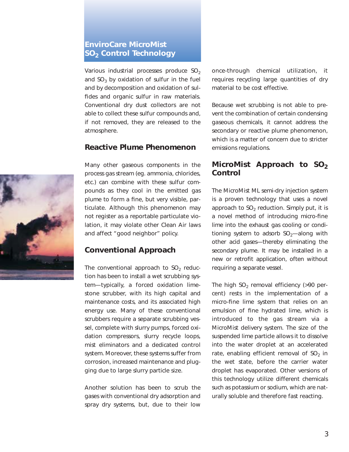### *EnviroCare MicroMist SO2 Control Technology*

Various industrial processes produce  $SO<sub>2</sub>$ and  $SO<sub>3</sub>$  by oxidation of sulfur in the fuel and by decomposition and oxidation of sulfides and organic sulfur in raw materials. Conventional dry dust collectors are not able to collect these sulfur compounds and, if not removed, they are released to the atmosphere.

#### *Reactive Plume Phenomenon*



Many other gaseous components in the process gas stream (eg. ammonia, chlorides, etc.) can combine with these sulfur compounds as they cool in the emitted gas plume to form a fine, but very visible, particulate. Although this phenomenon may not register as a reportable particulate violation, it may violate other Clean Air laws and affect "good neighbor" policy.

#### *Conventional Approach*

The conventional approach to  $SO<sub>2</sub>$  reduction has been to install a wet scrubbing system—typically, a forced oxidation limestone scrubber, with its high capital and maintenance costs, and its associated high energy use. Many of these conventional scrubbers require a separate scrubbing vessel, complete with slurry pumps, forced oxidation compressors, slurry recycle loops, mist eliminators and a dedicated control system. Moreover, these systems suffer from corrosion, increased maintenance and plugging due to large slurry particle size.

Another solution has been to scrub the gases with conventional dry adsorption and spray dry systems, but, due to their low once-through chemical utilization, it requires recycling large quantities of dry material to be cost effective.

Because wet scrubbing is not able to prevent the combination of certain condensing gaseous chemicals, it cannot address the secondary or reactive plume phenomenon, which is a matter of concern due to stricter emissions regulations.

#### *MicroMist Approach to SO<sub>2</sub> Control*

The MicroMist ML semi-dry injection system is a proven technology that uses a novel approach to  $SO<sub>2</sub>$  reduction. Simply put, it is a novel method of introducing micro-fine lime into the exhaust gas cooling or conditioning system to adsorb  $SO_2$ —along with other acid gases—thereby eliminating the secondary plume. It may be installed in a new or retrofit application, often without requiring a separate vessel.

The high  $SO_2$  removal efficiency (>90 percent) rests in the implementation of a micro-fine lime system that relies on an emulsion of fine hydrated lime, which is introduced to the gas stream via a MicroMist delivery system. The size of the suspended lime particle allows it to dissolve into the water droplet at an accelerated rate, enabling efficient removal of  $SO<sub>2</sub>$  in the wet state, before the carrier water droplet has evaporated. Other versions of this technology utilize different chemicals such as potassium or sodium, which are naturally soluble and therefore fast reacting.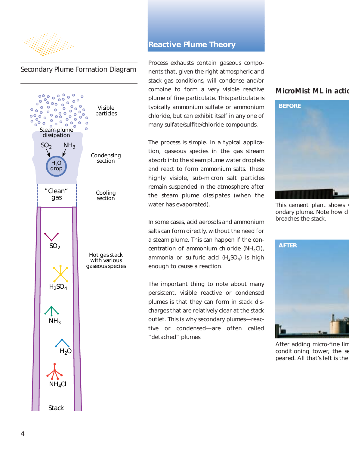

#### Secondary Plume Formation Diagram



#### *Reactive Plume Theory*

Process exhausts contain gaseous components that, given the right atmospheric and stack gas conditions, will condense and/or combine to form a very visible reactive plume of fine particulate. This particulate is typically ammonium sulfate or ammonium chloride, but can exhibit itself in any one of many sulfate/sulfite/chloride compounds.

The process is simple. In a typical application, gaseous species in the gas stream absorb into the steam plume water droplets and react to form ammonium salts. These highly visible, sub-micron salt particles remain suspended in the atmosphere after the steam plume dissipates (when the water has evaporated).

In some cases, acid aerosols and ammonium salts can form directly, without the need for a steam plume. This can happen if the concentration of ammonium chloride  $(NH_4Cl)$ , ammonia or sulfuric acid  $(H_2SO_4)$  is high enough to cause a reaction.

The important thing to note about many persistent, visible reactive or condensed plumes is that they can form in stack discharges that are relatively clear at the stack outlet. This is why secondary plumes—reactive or condensed—are often called "detached" plumes.

#### **MicroMist ML in actio**



*This cement plant shows ondary plume. Note how cl breaches the stack.*



*After adding micro-fine lim conditioning tower, the se peared. All that's left is the*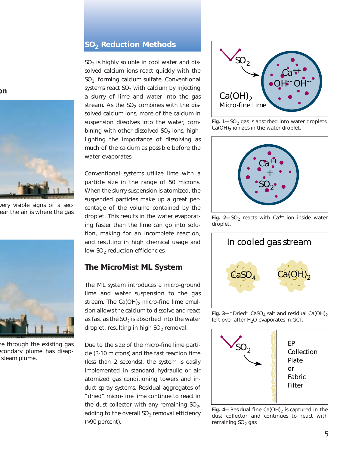#### *SO2 Reduction Methods*

 $SO<sub>2</sub>$  is highly soluble in cool water and dissolved calcium ions react quickly with the  $SO<sub>2</sub>$ , forming calcium sulfate. Conventional systems react  $SO<sub>2</sub>$  with calcium by injecting a slurry of lime and water into the gas stream. As the  $SO<sub>2</sub>$  combines with the dissolved calcium ions, more of the calcium in suspension dissolves into the water, combining with other dissolved  $SO<sub>2</sub>$  ions, highlighting the importance of dissolving as much of the calcium as possible before the water evaporates.

Conventional systems utilize lime with a particle size in the range of 50 microns. When the slurry suspension is atomized, the suspended particles make up a great percentage of the volume contained by the droplet. This results in the water evaporating faster than the lime can go into solution, making for an incomplete reaction, and resulting in high chemical usage and low  $SO<sub>2</sub>$  reduction efficiencies.

#### *The MicroMist ML System*

The ML system introduces a micro-ground lime and water suspension to the gas stream. The  $Ca(OH)_2$  micro-fine lime emulsion allows the calcium to dissolve and react as fast as the  $SO<sub>2</sub>$  is absorbed into the water droplet, resulting in high  $SO<sub>2</sub>$  removal.

Due to the size of the micro-fine lime particle (3-10 microns) and the fast reaction time (less than 2 seconds), the system is easily implemented in standard hydraulic or air atomized gas conditioning towers and induct spray systems. Residual aggregates of "dried" micro-fine lime continue to react in the dust collector with any remaining  $SO<sub>2</sub>$ , adding to the overall  $SO<sub>2</sub>$  removal efficiency (>90 percent).



*Fig.* 1-SO<sub>2</sub> gas is absorbed into water droplets. *Ca(OH)*<sup>2</sup> *ionizes in the water droplet.* 



*Fig. 2–SO<sub>2</sub> reacts with Ca<sup>++</sup> ion inside water droplet.*



*Fig. 3—"Dried" CaSO<sub>4</sub> salt and residual Ca(OH)<sub>2</sub> left over after H<sub>2</sub>O evaporates in GCT.* 



*Fig. 4—Residual fine Ca(OH)<sub>2</sub> is captured in the dust collector and continues to react with remaining SO<sub>2</sub> gas.* 

**on**



*very visible signs of a secear the air is where the gas*



*me through the existing gas econdary plume has disapsteam plume.*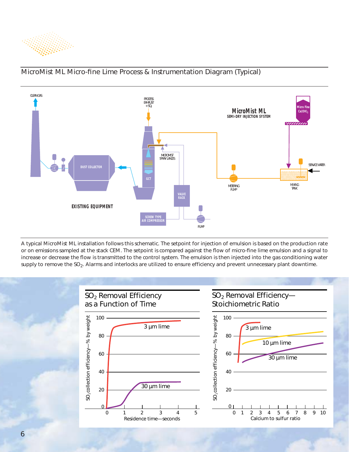



#### MicroMist ML Micro-fine Lime Process & Instrumentation Diagram (Typical)

*A typical MicroMist ML installation follows this schematic. The setpoint for injection of emulsion is based on the production rate or on emissions sampled at the stack CEM. The setpoint is compared against the flow of micro-fine lime emulsion and a signal to increase or decrease the flow is transmitted to the control system. The emulsion is then injected into the gas conditioning water supply to remove the SO2. Alarms and interlocks are utilized to ensure efficiency and prevent unnecessary plant downtime.*

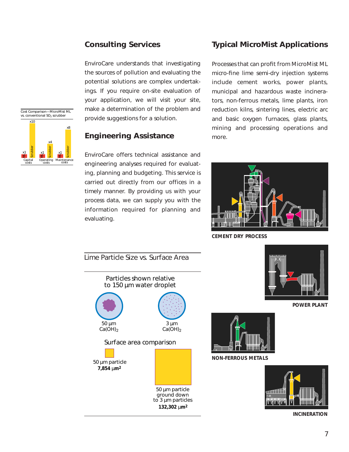#### *Consulting Services*

EnviroCare understands that investigating the sources of pollution and evaluating the potential solutions are complex undertakings. If you require on-site evaluation of your application, we will visit your site, make a determination of the problem and provide suggestions for a solution.

#### Cost Comparison—MicroMist ML vs. conventional SO<sub>2</sub> scrubber Capital Operating  $\mathsf{\Xi}$ Scrubber  $\mathsf s$ Scrubber  $\mathsf s$ Scrubber  $x10$ x4 x8 x1 <mark>= x1 = x1</mark>

#### *Engineering Assistance*

EnviroCare offers technical assistance and engineering analyses required for evaluating, planning and budgeting. This service is carried out directly from our offices in a timely manner. By providing us with your process data, we can supply you with the information required for planning and evaluating.

### *Typical MicroMist Applications*

Processes that can profit from MicroMist ML micro-fine lime semi-dry injection systems include cement works, power plants, municipal and hazardous waste incinerators, non-ferrous metals, lime plants, iron reduction kilns, sintering lines, electric arc and basic oxygen furnaces, glass plants, mining and processing operations and more.



**CEMENT DRY PROCESS**





**POWER PLANT**



**NON-FERROUS METALS**



**INCINERATION**